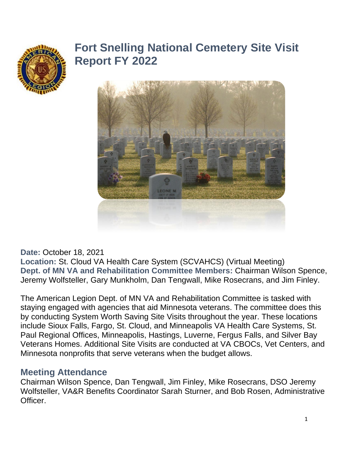

# **Fort Snelling National Cemetery Site Visit Report FY 2022**



**Date:** October 18, 2021

**Location:** St. Cloud VA Health Care System (SCVAHCS) (Virtual Meeting) **Dept. of MN VA and Rehabilitation Committee Members:** Chairman Wilson Spence, Jeremy Wolfsteller, Gary Munkholm, Dan Tengwall, Mike Rosecrans, and Jim Finley.

The American Legion Dept. of MN VA and Rehabilitation Committee is tasked with staying engaged with agencies that aid Minnesota veterans. The committee does this by conducting System Worth Saving Site Visits throughout the year. These locations include Sioux Falls, Fargo, St. Cloud, and Minneapolis VA Health Care Systems, St. Paul Regional Offices, Minneapolis, Hastings, Luverne, Fergus Falls, and Silver Bay Veterans Homes. Additional Site Visits are conducted at VA CBOCs, Vet Centers, and Minnesota nonprofits that serve veterans when the budget allows.

#### **Meeting Attendance**

Chairman Wilson Spence, Dan Tengwall, Jim Finley, Mike Rosecrans, DSO Jeremy Wolfsteller, VA&R Benefits Coordinator Sarah Sturner, and Bob Rosen, Administrative Officer.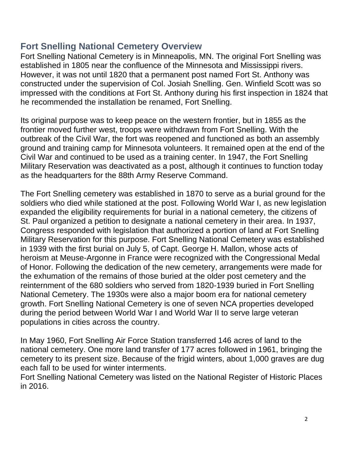### **Fort Snelling National Cemetery Overview**

Fort Snelling National Cemetery is in Minneapolis, MN. The original Fort Snelling was established in 1805 near the confluence of the Minnesota and Mississippi rivers. However, it was not until 1820 that a permanent post named Fort St. Anthony was constructed under the supervision of Col. Josiah Snelling. Gen. Winfield Scott was so impressed with the conditions at Fort St. Anthony during his first inspection in 1824 that he recommended the installation be renamed, Fort Snelling.

Its original purpose was to keep peace on the western frontier, but in 1855 as the frontier moved further west, troops were withdrawn from Fort Snelling. With the outbreak of the Civil War, the fort was reopened and functioned as both an assembly ground and training camp for Minnesota volunteers. It remained open at the end of the Civil War and continued to be used as a training center. In 1947, the Fort Snelling Military Reservation was deactivated as a post, although it continues to function today as the headquarters for the 88th Army Reserve Command.

The Fort Snelling cemetery was established in 1870 to serve as a burial ground for the soldiers who died while stationed at the post. Following World War I, as new legislation expanded the eligibility requirements for burial in a national cemetery, the citizens of St. Paul organized a petition to designate a national cemetery in their area. In 1937, Congress responded with legislation that authorized a portion of land at Fort Snelling Military Reservation for this purpose. Fort Snelling National Cemetery was established in 1939 with the first burial on July 5, of Capt. George H. Mallon, whose acts of heroism at Meuse-Argonne in France were recognized with the Congressional Medal of Honor. Following the dedication of the new cemetery, arrangements were made for the exhumation of the remains of those buried at the older post cemetery and the reinternment of the 680 soldiers who served from 1820-1939 buried in Fort Snelling National Cemetery. The 1930s were also a major boom era for national cemetery growth. Fort Snelling National Cemetery is one of seven NCA properties developed during the period between World War I and World War II to serve large veteran populations in cities across the country.

In May 1960, Fort Snelling Air Force Station transferred 146 acres of land to the national cemetery. One more land transfer of 177 acres followed in 1961, bringing the cemetery to its present size. Because of the frigid winters, about 1,000 graves are dug each fall to be used for winter interments.

Fort Snelling National Cemetery was listed on the National Register of Historic Places in 2016.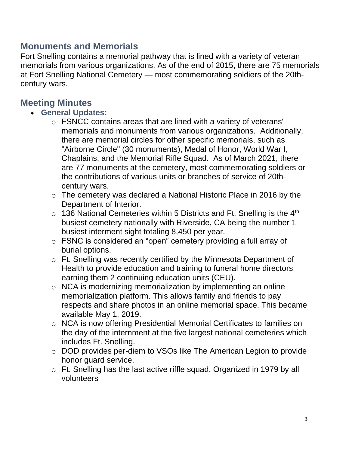### **Monuments and Memorials**

Fort Snelling contains a memorial pathway that is lined with a variety of veteran memorials from various organizations. As of the end of 2015, there are 75 memorials at Fort Snelling National Cemetery — most commemorating soldiers of the 20thcentury wars.

#### **Meeting Minutes**

- **General Updates:**
	- o FSNCC contains areas that are lined with a variety of veterans' memorials and monuments from various organizations. Additionally, there are memorial circles for other specific memorials, such as "Airborne Circle" (30 monuments), Medal of Honor, World War I, Chaplains, and the Memorial Rifle Squad. As of March 2021, there are 77 monuments at the cemetery, most commemorating soldiers or the contributions of various units or branches of service of 20thcentury wars.
	- o The cemetery was declared a National Historic Place in 2016 by the Department of Interior.
	- $\circ$  136 National Cemeteries within 5 Districts and Ft. Snelling is the 4<sup>th</sup> busiest cemetery nationally with Riverside, CA being the number 1 busiest interment sight totaling 8,450 per year.
	- o FSNC is considered an "open" cemetery providing a full array of burial options.
	- o Ft. Snelling was recently certified by the Minnesota Department of Health to provide education and training to funeral home directors earning them 2 continuing education units (CEU).
	- o NCA is modernizing memorialization by implementing an online memorialization platform. This allows family and friends to pay respects and share photos in an online memorial space. This became available May 1, 2019.
	- o NCA is now offering Presidential Memorial Certificates to families on the day of the internment at the five largest national cemeteries which includes Ft. Snelling.
	- o DOD provides per-diem to VSOs like The American Legion to provide honor guard service.
	- o Ft. Snelling has the last active riffle squad. Organized in 1979 by all volunteers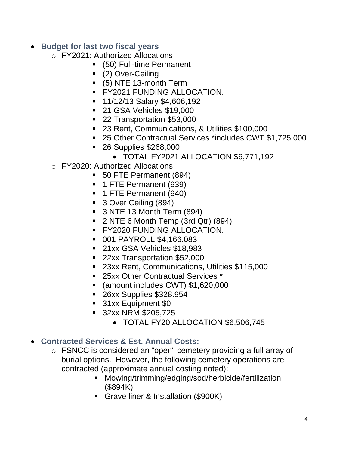#### • **Budget for last two fiscal years**

- o FY2021: Authorized Allocations
	- (50) Full-time Permanent
	- (2) Over-Ceiling
	- (5) NTE 13-month Term
	- **FY2021 FUNDING ALLOCATION:**
	- 11/12/13 Salary \$4,606,192
	- 21 GSA Vehicles \$19,000
	- 22 Transportation \$53,000
	- 23 Rent, Communications, & Utilities \$100,000
	- 25 Other Contractual Services \*includes CWT \$1,725,000
	- 26 Supplies \$268,000
		- TOTAL FY2021 ALLOCATION \$6,771,192
- o FY2020: Authorized Allocations
	- 50 FTE Permanent (894)
	- 1 FTE Permanent (939)
	- 1 FTE Permanent (940)
	- 3 Over Ceiling (894)
	- 3 NTE 13 Month Term (894)
	- $\blacksquare$  2 NTE 6 Month Temp (3rd Qtr) (894)
	- **EXAMPLE FOR FUNDING ALLOCATION:**
	- 001 PAYROLL \$4,166.083
	- 21xx GSA Vehicles \$18,983
	- 22xx Transportation \$52,000
	- 23xx Rent, Communications, Utilities \$115,000
	- 25xx Other Contractual Services \*
	- (amount includes CWT) \$1,620,000
	- 26xx Supplies \$328.954
	- 31xx Equipment \$0
	- 32xx NRM \$205,725
		- TOTAL FY20 ALLOCATION \$6,506,745
- **Contracted Services & Est. Annual Costs:**
	- o FSNCC is considered an "open" cemetery providing a full array of burial options. However, the following cemetery operations are contracted (approximate annual costing noted):
		- Mowing/trimming/edging/sod/herbicide/fertilization (\$894K)
		- Grave liner & Installation (\$900K)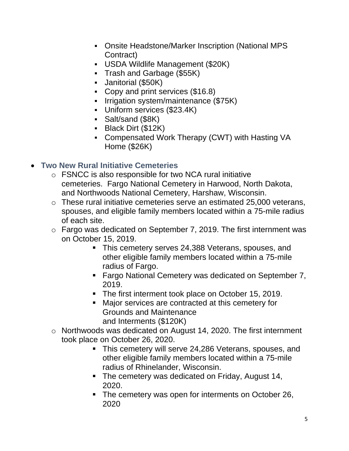- Onsite Headstone/Marker Inscription (National MPS Contract)
- USDA Wildlife Management (\$20K)
- Trash and Garbage (\$55K)
- Janitorial (\$50K)
- Copy and print services (\$16.8)
- **E** Irrigation system/maintenance (\$75K)
- Uniform services (\$23.4K)
- Salt/sand (\$8K)
- Black Dirt (\$12K)
- Compensated Work Therapy (CWT) with Hasting VA Home (\$26K)

### • **Two New Rural Initiative Cemeteries**

- o FSNCC is also responsible for two NCA rural initiative cemeteries. Fargo National Cemetery in Harwood, North Dakota, and Northwoods National Cemetery, Harshaw, Wisconsin.
- o These rural initiative cemeteries serve an estimated 25,000 veterans, spouses, and eligible family members located within a 75-mile radius of each site.
- o Fargo was dedicated on September 7, 2019. The first internment was on October 15, 2019.
	- **This cemetery serves 24,388 Veterans, spouses, and** other eligible family members located within a 75-mile radius of Fargo.
	- Fargo National Cemetery was dedicated on September 7, 2019.
	- The first interment took place on October 15, 2019.
	- Major services are contracted at this cemetery for Grounds and Maintenance and Interments (\$120K)
- o Northwoods was dedicated on August 14, 2020. The first internment took place on October 26, 2020.
	- **This cemetery will serve 24,286 Veterans, spouses, and** other eligible family members located within a 75-mile radius of Rhinelander, Wisconsin.
	- The cemetery was dedicated on Friday, August 14, 2020.
	- The cemetery was open for interments on October 26, 2020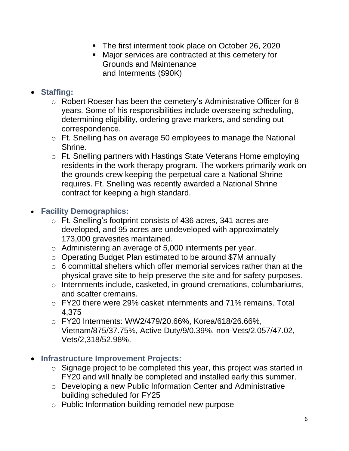- The first interment took place on October 26, 2020
- Major services are contracted at this cemetery for Grounds and Maintenance and Interments (\$90K)
- **Staffing:** 
	- o Robert Roeser has been the cemetery's Administrative Officer for 8 years. Some of his responsibilities include overseeing scheduling, determining eligibility, ordering grave markers, and sending out correspondence.
	- o Ft. Snelling has on average 50 employees to manage the National Shrine.
	- o Ft. Snelling partners with Hastings State Veterans Home employing residents in the work therapy program. The workers primarily work on the grounds crew keeping the perpetual care a National Shrine requires. Ft. Snelling was recently awarded a National Shrine contract for keeping a high standard.

#### • **Facility Demographics:**

- o Ft. Snelling's footprint consists of 436 acres, 341 acres are developed, and 95 acres are undeveloped with approximately 173,000 gravesites maintained.
- o Administering an average of 5,000 interments per year.
- o Operating Budget Plan estimated to be around \$7M annually
- $\circ$  6 committal shelters which offer memorial services rather than at the physical grave site to help preserve the site and for safety purposes.
- o Internments include, casketed, in-ground cremations, columbariums, and scatter cremains.
- o FY20 there were 29% casket internments and 71% remains. Total 4,375
- o FY20 Interments: WW2/479/20.66%, Korea/618/26.66%, Vietnam/875/37.75%, Active Duty/9/0.39%, non-Vets/2,057/47.02, Vets/2,318/52.98%.
- **Infrastructure Improvement Projects:** 
	- o Signage project to be completed this year, this project was started in FY20 and will finally be completed and installed early this summer.
	- o Developing a new Public Information Center and Administrative building scheduled for FY25
	- o Public Information building remodel new purpose